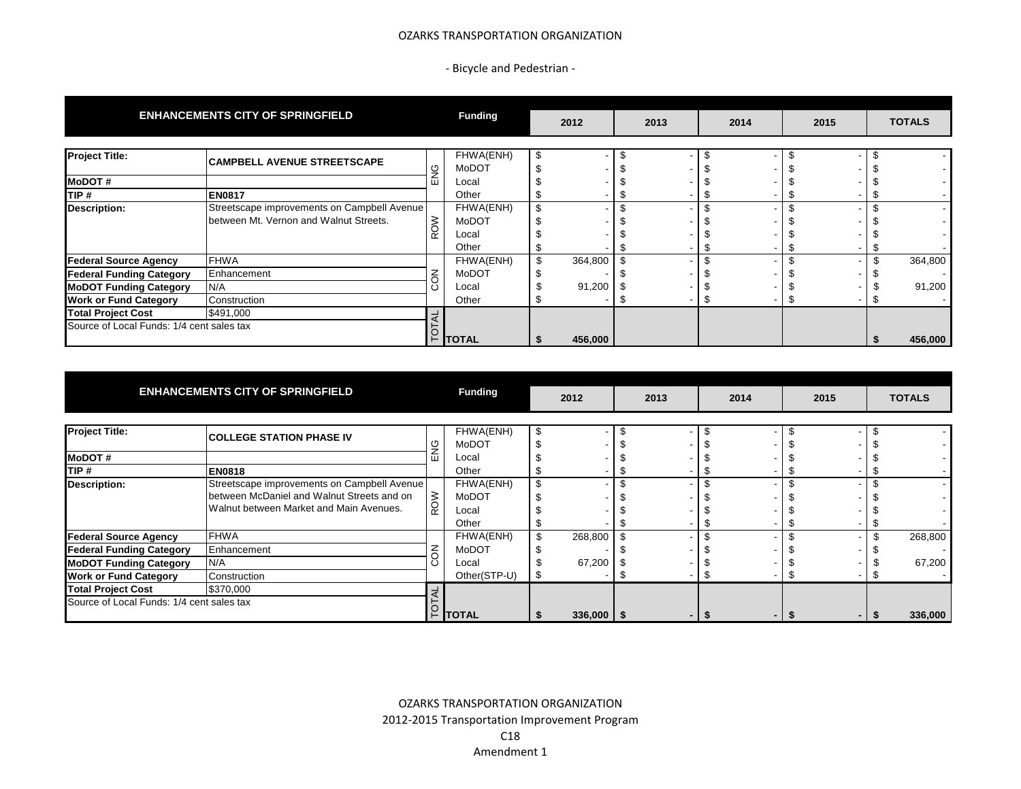## OZARKS TRANSPORTATION ORGANIZATION

- Bicycle and Pedestrian -

|                                           | <b>ENHANCEMENTS CITY OF SPRINGFIELD</b>                                               |            | <b>Funding</b>     |    | 2012    |  | 2013 | 2014 |  | 2015 |  | <b>TOTALS</b>                      |  |
|-------------------------------------------|---------------------------------------------------------------------------------------|------------|--------------------|----|---------|--|------|------|--|------|--|------------------------------------|--|
| <b>Project Title:</b>                     | <b>CAMPBELL AVENUE STREETSCAPE</b>                                                    |            | FHWA(ENH)          | \$ |         |  |      |      |  |      |  |                                    |  |
| <b>MoDOT#</b>                             |                                                                                       | ु<br>ш     | MoDOT<br>Local     |    |         |  |      |      |  |      |  | $\overline{\phantom{a}}$<br>$\sim$ |  |
| TIP#                                      | <b>EN0817</b>                                                                         |            | Other              |    |         |  |      |      |  |      |  | $\sim$                             |  |
| <b>Description:</b>                       | Streetscape improvements on Campbell Avenue<br>between Mt. Vernon and Walnut Streets. | <b>ROW</b> | FHWA(ENH)<br>MoDOT | \$ |         |  |      |      |  |      |  | $\sim$<br>$\sim$                   |  |
|                                           |                                                                                       |            | Local<br>Other     |    |         |  |      |      |  |      |  |                                    |  |
| <b>Federal Source Agency</b>              | <b>FHWA</b>                                                                           |            | FHWA(ENH)          | \$ | 364,800 |  |      |      |  |      |  | 364,800                            |  |
| <b>Federal Funding Category</b>           | Enhancement                                                                           |            | MoDOT              |    |         |  |      |      |  |      |  |                                    |  |
| <b>MoDOT Funding Category</b>             | N/A                                                                                   | Ō          | Local              |    | 91,200  |  |      |      |  |      |  | 91,200                             |  |
| <b>Work or Fund Category</b>              | <b>Construction</b>                                                                   |            | Other              |    |         |  |      |      |  |      |  |                                    |  |
| <b>Total Project Cost</b>                 | \$491,000                                                                             |            |                    |    |         |  |      |      |  |      |  |                                    |  |
| Source of Local Funds: 1/4 cent sales tax |                                                                                       |            | $F$ TOTAL          |    | 456,000 |  |      |      |  |      |  | 456,000                            |  |

|                                           | <b>ENHANCEMENTS CITY OF SPRINGFIELD</b>                                                   |     | <b>Funding</b>     | 2012 |                | 2013 |  | 2014 |  | 2015 |  | <b>TOTALS</b> |
|-------------------------------------------|-------------------------------------------------------------------------------------------|-----|--------------------|------|----------------|------|--|------|--|------|--|---------------|
| <b>Project Title:</b>                     | <b>COLLEGE STATION PHASE IV</b>                                                           |     | FHWA(ENH)<br>MoDOT | \$   |                |      |  |      |  |      |  |               |
| <b>MoDOT#</b>                             |                                                                                           | ш   | Local              |      |                |      |  |      |  |      |  |               |
| TIP#                                      | <b>EN0818</b>                                                                             |     | Other              |      |                |      |  |      |  |      |  |               |
| <b>Description:</b>                       | Streetscape improvements on Campbell Avenue<br>between McDaniel and Walnut Streets and on | ROW | FHWA(ENH)<br>MoDOT | \$   |                |      |  |      |  |      |  |               |
|                                           | Walnut between Market and Main Avenues.                                                   |     | Local<br>Other     |      |                |      |  |      |  |      |  |               |
| <b>Federal Source Agency</b>              | <b>FHWA</b>                                                                               |     | FHWA(ENH)          | \$.  | 268,800        |      |  |      |  |      |  | 268,800       |
| <b>Federal Funding Category</b>           | Enhancement                                                                               |     | MoDOT              |      |                |      |  |      |  |      |  |               |
| <b>MoDOT Funding Category</b>             | N/A                                                                                       |     | Local              |      | 67,200         |      |  |      |  |      |  | 67,200        |
| <b>Work or Fund Category</b>              | Construction                                                                              |     | Other(STP-U)       |      |                |      |  |      |  |      |  |               |
| <b>Total Project Cost</b>                 | \$370,000                                                                                 |     |                    |      |                |      |  |      |  |      |  |               |
| Source of Local Funds: 1/4 cent sales tax |                                                                                           |     | <b>TOTAL</b>       |      | $336,000$   \$ |      |  |      |  |      |  | 336,000       |

OZARKS TRANSPORTATION ORGANIZATION 2012-2015 Transportation Improvement Program C18 Amendment 1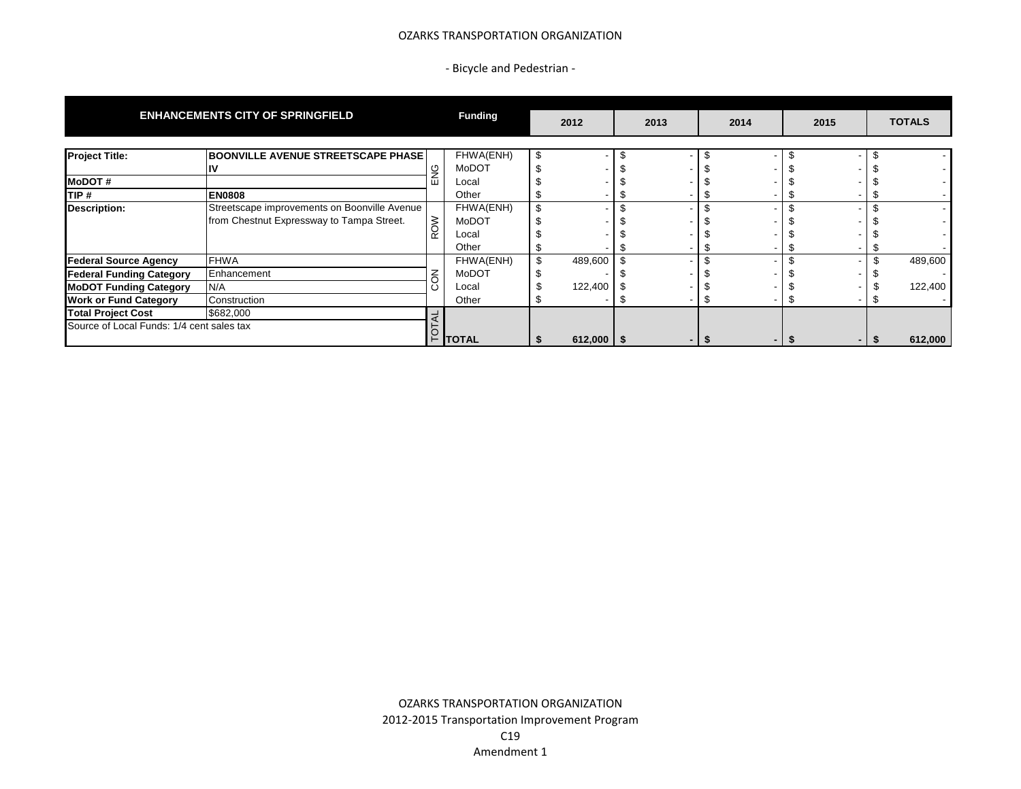## OZARKS TRANSPORTATION ORGANIZATION

- Bicycle and Pedestrian -

|                                           | <b>ENHANCEMENTS CITY OF SPRINGFIELD</b>      |  | <b>Funding</b> | 2012           | 2013 |  | 2014 |     | 2015 |  | <b>TOTALS</b> |
|-------------------------------------------|----------------------------------------------|--|----------------|----------------|------|--|------|-----|------|--|---------------|
| <b>Project Title:</b>                     | <b>BOONVILLE AVENUE STREETSCAPE PHASE</b>    |  | FHWA(ENH)      |                |      |  |      |     |      |  |               |
|                                           | ιv                                           |  | MoDOT          |                |      |  |      |     |      |  |               |
| <b>MoDOT#</b>                             |                                              |  | Local          |                |      |  |      |     |      |  |               |
| TIP#                                      | <b>EN0808</b>                                |  | Other          |                |      |  |      |     |      |  |               |
| <b>Description:</b>                       | Streetscape improvements on Boonville Avenue |  | FHWA(ENH)      |                |      |  |      |     |      |  |               |
|                                           | from Chestnut Expressway to Tampa Street.    |  | MoDOT          |                |      |  |      |     |      |  |               |
|                                           |                                              |  | Local          |                |      |  |      |     |      |  |               |
|                                           |                                              |  | Other          |                |      |  |      |     |      |  |               |
| <b>Federal Source Agency</b>              | <b>FHWA</b>                                  |  | FHWA(ENH)      | 489,600        |      |  |      |     |      |  | 489,600       |
| <b>Federal Funding Category</b>           | Enhancement                                  |  | MoDOT          |                |      |  |      |     |      |  |               |
| <b>MoDOT Funding Category</b>             | N/A                                          |  | Local          | 122,400        |      |  |      |     |      |  | 122,400       |
| <b>Work or Fund Category</b>              | Construction                                 |  | Other          |                |      |  |      |     |      |  |               |
| <b>Total Project Cost</b>                 | \$682,000                                    |  |                |                |      |  |      |     |      |  |               |
| Source of Local Funds: 1/4 cent sales tax |                                              |  | Η TOTAL        | $612,000$   \$ |      |  |      | . . |      |  | 612,000       |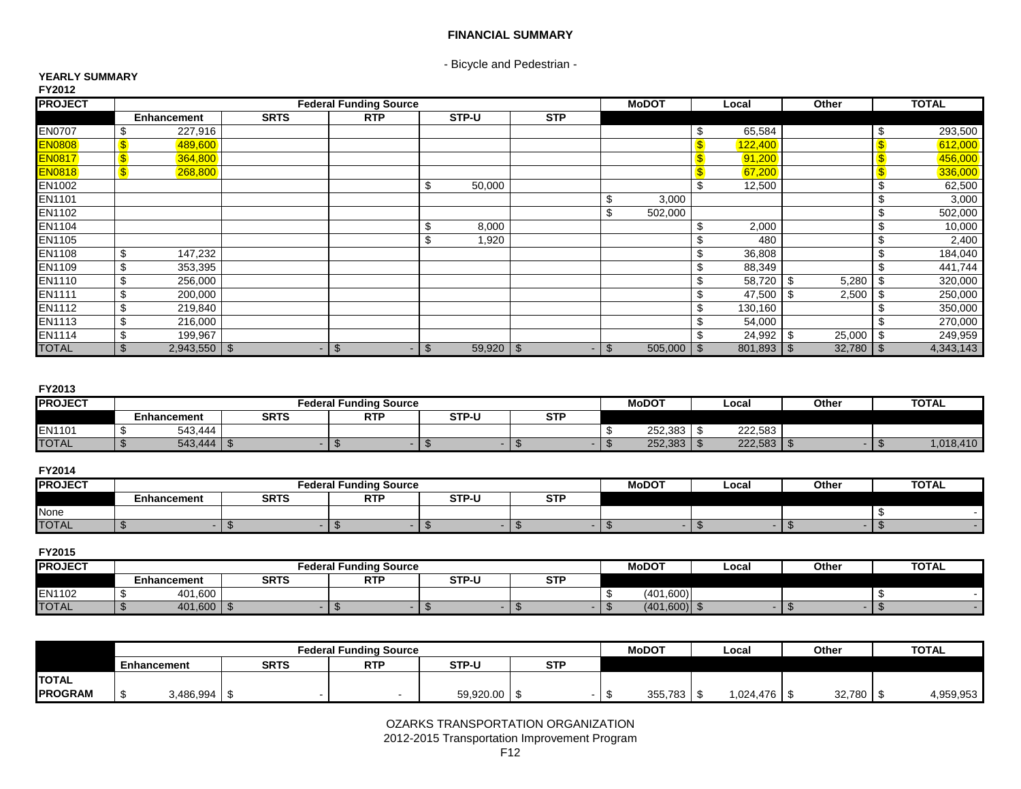# **FINANCIAL SUMMARY**

- Bicycle and Pedestrian -

#### **YEARLY SUMMARY FY2012**

| .<br><b>PROJECT</b> |    |             |             | <b>Federal Funding Source</b> |                          |               |            |                          | <b>MoDOT</b> |              | Local       | Other        |    | <b>TOTAL</b> |
|---------------------|----|-------------|-------------|-------------------------------|--------------------------|---------------|------------|--------------------------|--------------|--------------|-------------|--------------|----|--------------|
|                     |    | Enhancement | <b>SRTS</b> | <b>RTP</b>                    |                          | STP-U         | <b>STP</b> |                          |              |              |             |              |    |              |
| <b>EN0707</b>       |    | 227,916     |             |                               |                          |               |            |                          |              | \$           | 65,584      |              |    | 293,500      |
| <b>EN0808</b>       | \$ | 489,600     |             |                               |                          |               |            |                          |              | $\mathbf{s}$ | 122,400     |              |    | 612,000      |
| <b>EN0817</b>       |    | 364,800     |             |                               |                          |               |            |                          |              | $\mathbf{s}$ | 91,200      |              |    | 456,000      |
| <b>EN0818</b>       |    | 268,800     |             |                               |                          |               |            |                          |              | $\mathbf{s}$ | 67,200      |              |    | 336,000      |
| EN1002              |    |             |             |                               | \$                       | 50,000        |            |                          |              | \$           | 12,500      |              |    | 62,500       |
| EN1101              |    |             |             |                               |                          |               |            |                          | 3,000        |              |             |              |    | 3,000        |
| EN1102              |    |             |             |                               |                          |               |            |                          | 502,000      |              |             |              |    | 502,000      |
| EN1104              |    |             |             |                               | \$                       | 8,000         |            |                          |              | \$           | 2,000       |              |    | 10,000       |
| EN1105              |    |             |             |                               | \$                       | 1,920         |            |                          |              | \$           | 480         |              |    | 2,400        |
| EN1108              | \$ | 147,232     |             |                               |                          |               |            |                          |              | \$           | 36,808      |              |    | 184,040      |
| EN1109              | \$ | 353,395     |             |                               |                          |               |            |                          |              | \$           | 88,349      |              |    | 441,744      |
| EN1110              | \$ | 256,000     |             |                               |                          |               |            |                          |              | \$           | 58,720 \$   | 5,280        |    | 320,000      |
| <b>EN1111</b>       | \$ | 200,000     |             |                               |                          |               |            |                          |              | \$           | 47,500      | -\$<br>2,500 |    | 250,000      |
| EN1112              | \$ | 219,840     |             |                               |                          |               |            |                          |              | \$           | 130,160     |              |    | 350,000      |
| <b>EN1113</b>       | \$ | 216,000     |             |                               |                          |               |            |                          |              | \$           | 54,000      |              |    | 270,000      |
| EN1114              |    | 199,967     |             |                               |                          |               |            |                          |              |              | $24,992$ \$ | 25,000       |    | 249,959      |
| <b>TOTAL</b>        | £. |             |             | <sup>\$</sup><br>- 1          | $\mathfrak{L}$<br>$\sim$ | $59,920$ \ \$ |            | $\mathfrak{L}$<br>$\sim$ | 505,000      | \$           |             | 32,780       | S. | 4,343,143    |

# **FY2013**

| <b>PROJECT</b> |                    |         |             |  | <b>Federal Funding Source</b> |              |  | MoDO <sub>1</sub> | Local   | Other   | <b>TOTAL</b> |          |
|----------------|--------------------|---------|-------------|--|-------------------------------|--------------|--|-------------------|---------|---------|--------------|----------|
|                | <b>Enhancement</b> |         | <b>SRTS</b> |  | <b>RTF</b>                    | <b>STP-U</b> |  | <b>STP</b>        |         |         |              |          |
| <b>EN1101</b>  |                    | 543.444 |             |  |                               |              |  |                   | 252.383 | 222,583 |              |          |
| <b>TOTAL</b>   |                    | 543,444 |             |  |                               |              |  |                   | 252.383 | 222,583 |              | ,018,410 |

## **FY2014**

| <b>PROJECT</b> |             | Federal     | . .<br>l Fundina Source |       |                 | <b>MoDOT</b> | ∟ocal | Other | <b>TOTAL</b> |
|----------------|-------------|-------------|-------------------------|-------|-----------------|--------------|-------|-------|--------------|
|                | Enhancement | <b>SRTS</b> | <b>RTF</b>              | STP-U | <b>STE</b><br>ິ |              |       |       |              |
| None           |             |             |                         |       |                 |              |       |       |              |
| <b>TOTAL</b>   |             |             |                         |       |                 |              |       |       |              |

## **FY2015**

| <b>IPROJECT</b> |             | Federal     | <b>I Funding Source</b> |              |                   | <b>MoDOT</b> | Local | Othe | <b>TOTAL</b> |
|-----------------|-------------|-------------|-------------------------|--------------|-------------------|--------------|-------|------|--------------|
|                 | Enhancement | <b>SRTS</b> | <b>RTF</b>              | <b>STP-U</b> | <b>STD</b><br>əii |              |       |      |              |
| EN1102          | 401.600     |             |                         |              |                   | (401.600)    |       |      |              |
| <b>TOTAL</b>    | 401,600     |             |                         |              |                   | (401,600)    |       |      |              |

|                |             |           |             | <b>Federal Funding Source</b> |              |            | <b>MoDOT</b> | Local     | Other  | <b>TOTAL</b> |
|----------------|-------------|-----------|-------------|-------------------------------|--------------|------------|--------------|-----------|--------|--------------|
|                | Enhancement |           | <b>SRTS</b> | <b>RTF</b>                    | <b>STP-U</b> | <b>STP</b> |              |           |        |              |
| <b>TOTAL</b>   |             |           |             |                               |              |            |              |           |        |              |
| <b>PROGRAM</b> |             | 3,486,994 |             |                               | 59,920.00    |            | 355,783      | 1,024,476 | 32,780 | 4,959,953    |